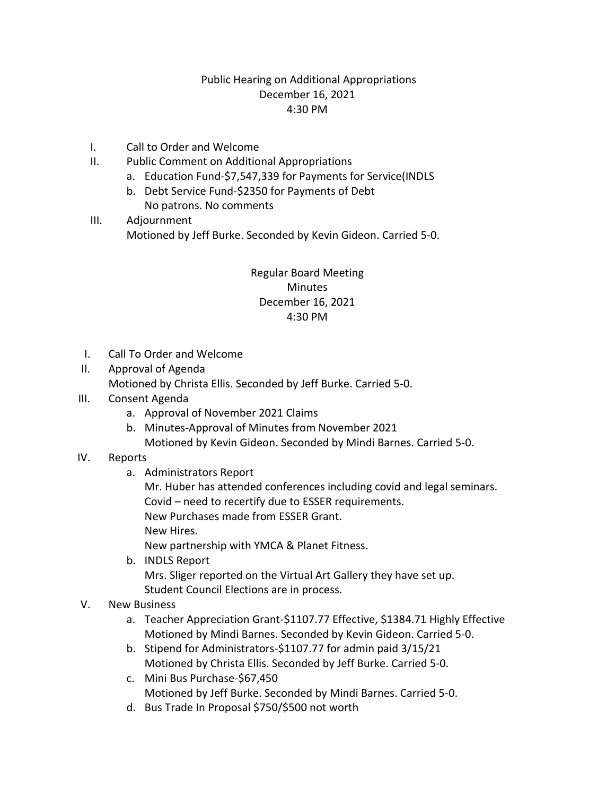## Public Hearing on Additional Appropriations December 16, 2021 4:30 PM

- I. Call to Order and Welcome
- II. Public Comment on Additional Appropriations
	- a. Education Fund-\$7,547,339 for Payments for Service(INDLS
	- b. Debt Service Fund-\$2350 for Payments of Debt No patrons. No comments
- III. Adjournment Motioned by Jeff Burke. Seconded by Kevin Gideon. Carried 5-0.

## Regular Board Meeting **Minutes** December 16, 2021 4:30 PM

- I. Call To Order and Welcome
- II. Approval of Agenda Motioned by Christa Ellis. Seconded by Jeff Burke. Carried 5-0.
- III. Consent Agenda
	- a. Approval of November 2021 Claims
	- b. Minutes-Approval of Minutes from November 2021
		- Motioned by Kevin Gideon. Seconded by Mindi Barnes. Carried 5-0.
- IV. Reports
	- a. Administrators Report

Mr. Huber has attended conferences including covid and legal seminars. Covid – need to recertify due to ESSER requirements.

New Purchases made from ESSER Grant.

New Hires.

New partnership with YMCA & Planet Fitness.

- b. INDLS Report Mrs. Sliger reported on the Virtual Art Gallery they have set up. Student Council Elections are in process.
- V. New Business
	- a. Teacher Appreciation Grant-\$1107.77 Effective, \$1384.71 Highly Effective Motioned by Mindi Barnes. Seconded by Kevin Gideon. Carried 5-0.
	- b. Stipend for Administrators-\$1107.77 for admin paid 3/15/21 Motioned by Christa Ellis. Seconded by Jeff Burke. Carried 5-0.
	- c. Mini Bus Purchase-\$67,450 Motioned by Jeff Burke. Seconded by Mindi Barnes. Carried 5-0.
	- d. Bus Trade In Proposal \$750/\$500 not worth